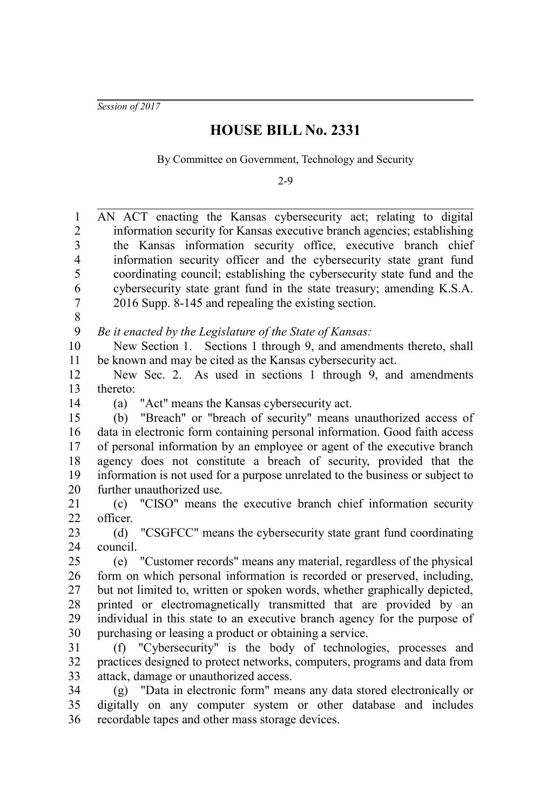*Session of 2017*

## **HOUSE BILL No. 2331**

By Committee on Government, Technology and Security

2-9

| 1              | AN ACT enacting the Kansas cybersecurity act; relating to digital             |
|----------------|-------------------------------------------------------------------------------|
| $\overline{2}$ | information security for Kansas executive branch agencies; establishing       |
| 3              | the Kansas information security office, executive branch chief                |
| $\overline{4}$ | information security officer and the cybersecurity state grant fund           |
| 5              | coordinating council; establishing the cybersecurity state fund and the       |
| 6              | cybersecurity state grant fund in the state treasury; amending K.S.A.         |
| 7              | 2016 Supp. 8-145 and repealing the existing section.                          |
| 8              |                                                                               |
| 9              | Be it enacted by the Legislature of the State of Kansas:                      |
| 10             | New Section 1. Sections 1 through 9, and amendments thereto, shall            |
| 11             | be known and may be cited as the Kansas cybersecurity act.                    |
| 12             | New Sec. 2. As used in sections 1 through 9, and amendments                   |
| 13             | thereto:                                                                      |
| 14             | "Act" means the Kansas cybersecurity act.<br>(a)                              |
| 15             | (b) "Breach" or "breach of security" means unauthorized access of             |
| 16             | data in electronic form containing personal information. Good faith access    |
| 17             | of personal information by an employee or agent of the executive branch       |
| 18             | agency does not constitute a breach of security, provided that the            |
| 19             | information is not used for a purpose unrelated to the business or subject to |
| 20             | further unauthorized use.                                                     |
| 21             | (c) "CISO" means the executive branch chief information security              |
| 22             | officer.                                                                      |
| 23             | "CSGFCC" means the cybersecurity state grant fund coordinating<br>(d)         |
| 24             | council.                                                                      |
| 25             | (e) "Customer records" means any material, regardless of the physical         |
| 26             | form on which personal information is recorded or preserved, including,       |
| 27             | but not limited to, written or spoken words, whether graphically depicted,    |
| 28             | printed or electromagnetically transmitted that are provided by an            |
| 29             | individual in this state to an executive branch agency for the purpose of     |
| 30             | purchasing or leasing a product or obtaining a service.                       |
| 31             | (f) "Cybersecurity" is the body of technologies, processes and                |
| 32             | practices designed to protect networks, computers, programs and data from     |
| 33             | attack, damage or unauthorized access.                                        |
| 34             | (g) "Data in electronic form" means any data stored electronically or         |
| 35             | digitally on any computer system or other database and includes               |
| 36             | recordable tapes and other mass storage devices.                              |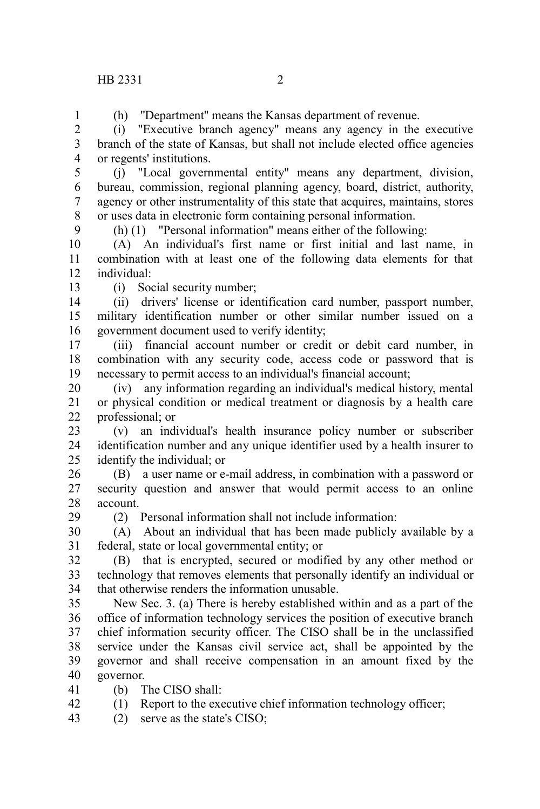(h) ''Department'' means the Kansas department of revenue.

(i) "Executive branch agency" means any agency in the executive branch of the state of Kansas, but shall not include elected office agencies or regents' institutions.  $\mathcal{L}$ 3 4

(j) "Local governmental entity" means any department, division, bureau, commission, regional planning agency, board, district, authority, agency or other instrumentality of this state that acquires, maintains, stores or uses data in electronic form containing personal information. 5 6 7 8

(h) (1) "Personal information" means either of the following:

(A) An individual's first name or first initial and last name, in combination with at least one of the following data elements for that individual: 10 11 12

13

29

9

1

(i) Social security number;

(ii) drivers' license or identification card number, passport number, military identification number or other similar number issued on a government document used to verify identity; 14 15 16

(iii) financial account number or credit or debit card number, in combination with any security code, access code or password that is necessary to permit access to an individual's financial account; 17 18 19

(iv) any information regarding an individual's medical history, mental or physical condition or medical treatment or diagnosis by a health care professional; or 20 21 22

(v) an individual's health insurance policy number or subscriber identification number and any unique identifier used by a health insurer to identify the individual; or 23 24 25

(B) a user name or e-mail address, in combination with a password or security question and answer that would permit access to an online account. 26 27 28

(2) Personal information shall not include information:

(A) About an individual that has been made publicly available by a federal, state or local governmental entity; or 30 31

(B) that is encrypted, secured or modified by any other method or technology that removes elements that personally identify an individual or that otherwise renders the information unusable. 32 33 34

New Sec. 3. (a) There is hereby established within and as a part of the office of information technology services the position of executive branch chief information security officer. The CISO shall be in the unclassified service under the Kansas civil service act, shall be appointed by the governor and shall receive compensation in an amount fixed by the governor. 35 36 37 38 39 40

(b) The CISO shall: 41

(1) Report to the executive chief information technology officer; 42

(2) serve as the state's CISO; 43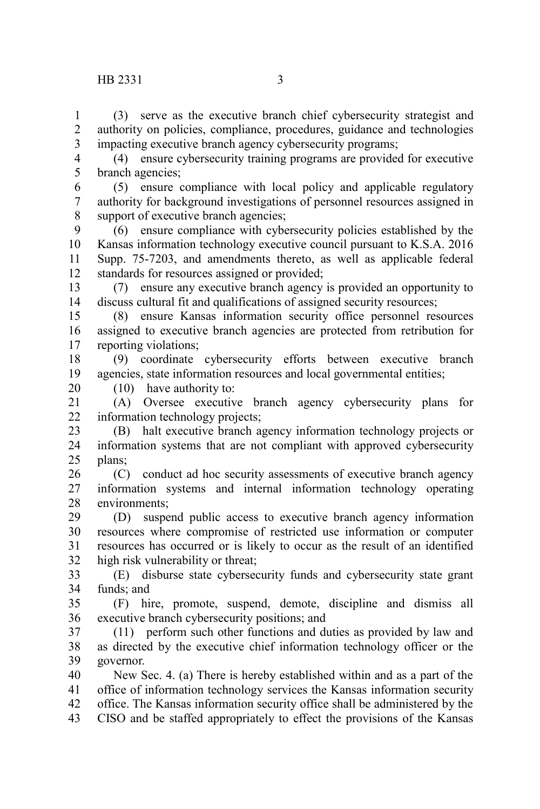(3) serve as the executive branch chief cybersecurity strategist and authority on policies, compliance, procedures, guidance and technologies impacting executive branch agency cybersecurity programs; 1 2 3

(4) ensure cybersecurity training programs are provided for executive branch agencies; 4 5

(5) ensure compliance with local policy and applicable regulatory authority for background investigations of personnel resources assigned in support of executive branch agencies; 6 7 8

(6) ensure compliance with cybersecurity policies established by the Kansas information technology executive council pursuant to K.S.A. 2016 Supp. 75-7203, and amendments thereto, as well as applicable federal standards for resources assigned or provided; 9 10 11 12

(7) ensure any executive branch agency is provided an opportunity to discuss cultural fit and qualifications of assigned security resources; 13 14

(8) ensure Kansas information security office personnel resources assigned to executive branch agencies are protected from retribution for reporting violations; 15 16 17

(9) coordinate cybersecurity efforts between executive branch agencies, state information resources and local governmental entities; 18 19

(10) have authority to:

20

(A) Oversee executive branch agency cybersecurity plans for information technology projects; 21 22

(B) halt executive branch agency information technology projects or information systems that are not compliant with approved cybersecurity plans; 23 24 25

(C) conduct ad hoc security assessments of executive branch agency information systems and internal information technology operating environments; 26 27 28

(D) suspend public access to executive branch agency information resources where compromise of restricted use information or computer resources has occurred or is likely to occur as the result of an identified high risk vulnerability or threat; 29 30 31 32

(E) disburse state cybersecurity funds and cybersecurity state grant funds; and 33 34

(F) hire, promote, suspend, demote, discipline and dismiss all executive branch cybersecurity positions; and 35 36

(11) perform such other functions and duties as provided by law and as directed by the executive chief information technology officer or the governor. 37 38 39

New Sec. 4. (a) There is hereby established within and as a part of the office of information technology services the Kansas information security office. The Kansas information security office shall be administered by the CISO and be staffed appropriately to effect the provisions of the Kansas 40 41 42 43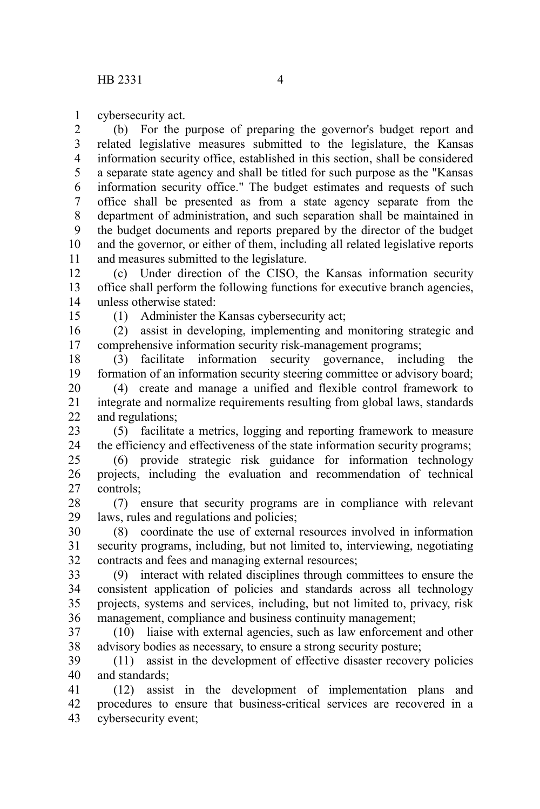cybersecurity act. 1

(b) For the purpose of preparing the governor's budget report and related legislative measures submitted to the legislature, the Kansas information security office, established in this section, shall be considered a separate state agency and shall be titled for such purpose as the "Kansas information security office." The budget estimates and requests of such office shall be presented as from a state agency separate from the department of administration, and such separation shall be maintained in the budget documents and reports prepared by the director of the budget and the governor, or either of them, including all related legislative reports and measures submitted to the legislature. 2 3 4 5 6 7 8 9 10 11

(c) Under direction of the CISO, the Kansas information security office shall perform the following functions for executive branch agencies, unless otherwise stated: 12 13 14

15

(1) Administer the Kansas cybersecurity act;

(2) assist in developing, implementing and monitoring strategic and comprehensive information security risk-management programs; 16 17

(3) facilitate information security governance, including the formation of an information security steering committee or advisory board; 18 19

(4) create and manage a unified and flexible control framework to integrate and normalize requirements resulting from global laws, standards and regulations; 20 21 22

(5) facilitate a metrics, logging and reporting framework to measure the efficiency and effectiveness of the state information security programs; 23 24

(6) provide strategic risk guidance for information technology projects, including the evaluation and recommendation of technical controls; 25 26 27

(7) ensure that security programs are in compliance with relevant laws, rules and regulations and policies; 28 29

(8) coordinate the use of external resources involved in information security programs, including, but not limited to, interviewing, negotiating contracts and fees and managing external resources; 30 31 32

(9) interact with related disciplines through committees to ensure the consistent application of policies and standards across all technology projects, systems and services, including, but not limited to, privacy, risk management, compliance and business continuity management; 33 34 35 36

(10) liaise with external agencies, such as law enforcement and other advisory bodies as necessary, to ensure a strong security posture; 37 38

(11) assist in the development of effective disaster recovery policies and standards; 39 40

(12) assist in the development of implementation plans and procedures to ensure that business-critical services are recovered in a cybersecurity event; 41 42 43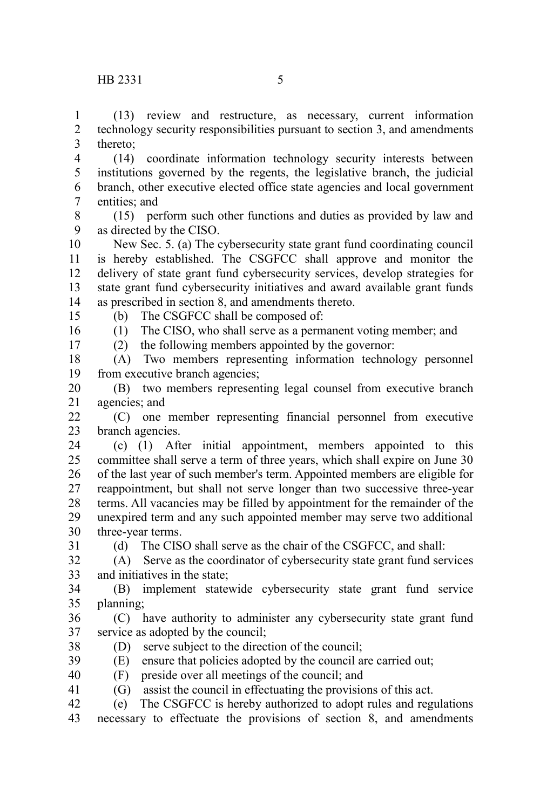(13) review and restructure, as necessary, current information technology security responsibilities pursuant to section 3, and amendments thereto; 1 2 3

(14) coordinate information technology security interests between institutions governed by the regents, the legislative branch, the judicial branch, other executive elected office state agencies and local government entities; and 4 5 6 7

(15) perform such other functions and duties as provided by law and as directed by the CISO. 8 9

New Sec. 5. (a) The cybersecurity state grant fund coordinating council is hereby established. The CSGFCC shall approve and monitor the delivery of state grant fund cybersecurity services, develop strategies for state grant fund cybersecurity initiatives and award available grant funds as prescribed in section 8, and amendments thereto. 10 11 12 13 14

15

(b) The CSGFCC shall be composed of:

16 17

31

(1) The CISO, who shall serve as a permanent voting member; and

(2) the following members appointed by the governor:

(A) Two members representing information technology personnel from executive branch agencies; 18 19

(B) two members representing legal counsel from executive branch agencies; and 20 21

(C) one member representing financial personnel from executive branch agencies.  $22$ 23

(c) (1) After initial appointment, members appointed to this committee shall serve a term of three years, which shall expire on June 30 of the last year of such member's term. Appointed members are eligible for reappointment, but shall not serve longer than two successive three-year terms. All vacancies may be filled by appointment for the remainder of the unexpired term and any such appointed member may serve two additional three-year terms. 24 25 26 27 28 29 30

(d) The CISO shall serve as the chair of the CSGFCC, and shall:

(A) Serve as the coordinator of cybersecurity state grant fund services and initiatives in the state; 32 33

(B) implement statewide cybersecurity state grant fund service planning; 34 35

(C) have authority to administer any cybersecurity state grant fund service as adopted by the council; 36 37

- (D) serve subject to the direction of the council; 38
- (E) ensure that policies adopted by the council are carried out; 39
- (F) preside over all meetings of the council; and 40
- (G) assist the council in effectuating the provisions of this act. 41

(e) The CSGFCC is hereby authorized to adopt rules and regulations 42

necessary to effectuate the provisions of section 8, and amendments 43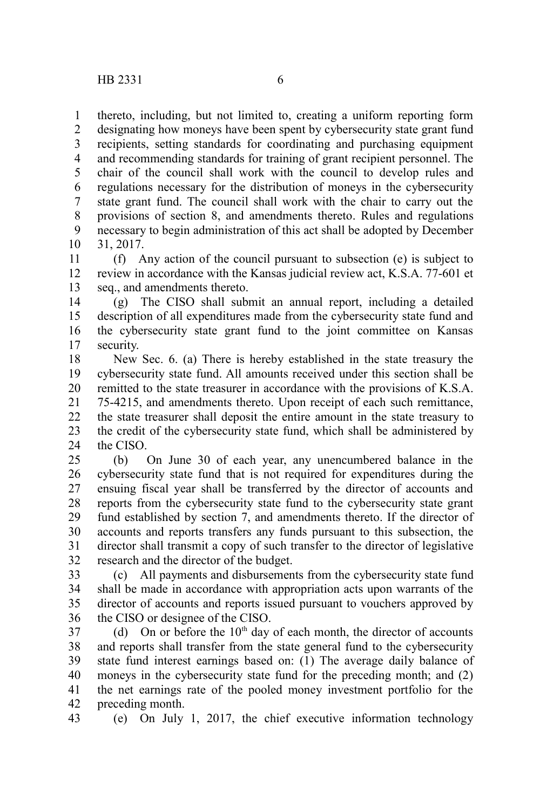thereto, including, but not limited to, creating a uniform reporting form designating how moneys have been spent by cybersecurity state grant fund recipients, setting standards for coordinating and purchasing equipment and recommending standards for training of grant recipient personnel. The chair of the council shall work with the council to develop rules and regulations necessary for the distribution of moneys in the cybersecurity state grant fund. The council shall work with the chair to carry out the provisions of section 8, and amendments thereto. Rules and regulations necessary to begin administration of this act shall be adopted by December 31, 2017. 1 2 3 4 5 6 7 8 9 10

(f) Any action of the council pursuant to subsection (e) is subject to review in accordance with the Kansas judicial review act, K.S.A. 77-601 et seq., and amendments thereto. 11 12 13

(g) The CISO shall submit an annual report, including a detailed description of all expenditures made from the cybersecurity state fund and the cybersecurity state grant fund to the joint committee on Kansas security. 14 15 16 17

New Sec. 6. (a) There is hereby established in the state treasury the cybersecurity state fund. All amounts received under this section shall be remitted to the state treasurer in accordance with the provisions of K.S.A. 75-4215, and amendments thereto. Upon receipt of each such remittance, the state treasurer shall deposit the entire amount in the state treasury to the credit of the cybersecurity state fund, which shall be administered by the CISO. 18 19 20 21 22 23 24

(b) On June 30 of each year, any unencumbered balance in the cybersecurity state fund that is not required for expenditures during the ensuing fiscal year shall be transferred by the director of accounts and reports from the cybersecurity state fund to the cybersecurity state grant fund established by section 7, and amendments thereto. If the director of accounts and reports transfers any funds pursuant to this subsection, the director shall transmit a copy of such transfer to the director of legislative research and the director of the budget. 25 26 27 28 29 30 31 32

(c) All payments and disbursements from the cybersecurity state fund shall be made in accordance with appropriation acts upon warrants of the director of accounts and reports issued pursuant to vouchers approved by the CISO or designee of the CISO. 33 34 35 36

(d) On or before the  $10<sup>th</sup>$  day of each month, the director of accounts and reports shall transfer from the state general fund to the cybersecurity state fund interest earnings based on: (1) The average daily balance of moneys in the cybersecurity state fund for the preceding month; and (2) the net earnings rate of the pooled money investment portfolio for the preceding month. 37 38 39 40 41 42

(e) On July 1, 2017, the chief executive information technology 43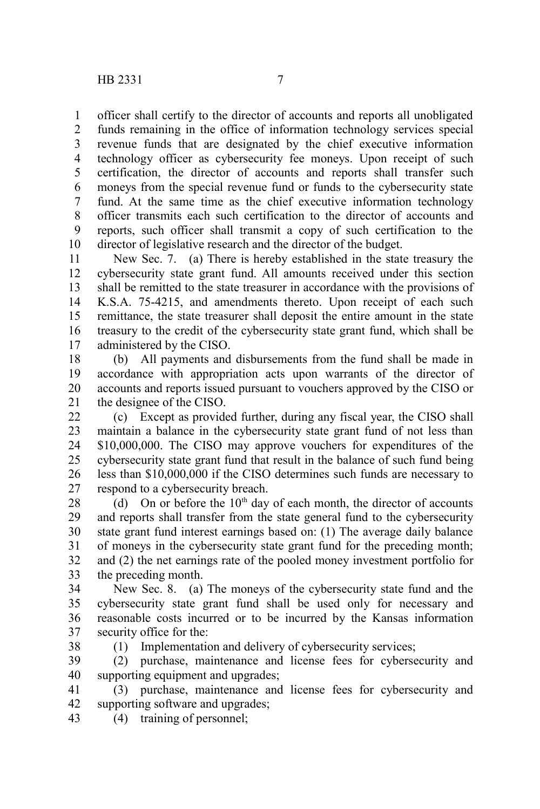officer shall certify to the director of accounts and reports all unobligated 1

funds remaining in the office of information technology services special revenue funds that are designated by the chief executive information technology officer as cybersecurity fee moneys. Upon receipt of such certification, the director of accounts and reports shall transfer such moneys from the special revenue fund or funds to the cybersecurity state fund. At the same time as the chief executive information technology officer transmits each such certification to the director of accounts and reports, such officer shall transmit a copy of such certification to the director of legislative research and the director of the budget. 2 3 4 5 6 7 8 9 10

New Sec. 7. (a) There is hereby established in the state treasury the cybersecurity state grant fund. All amounts received under this section shall be remitted to the state treasurer in accordance with the provisions of K.S.A. 75-4215, and amendments thereto. Upon receipt of each such remittance, the state treasurer shall deposit the entire amount in the state treasury to the credit of the cybersecurity state grant fund, which shall be administered by the CISO. 11 12 13 14 15 16 17

(b) All payments and disbursements from the fund shall be made in accordance with appropriation acts upon warrants of the director of accounts and reports issued pursuant to vouchers approved by the CISO or the designee of the CISO. 18 19 20 21

(c) Except as provided further, during any fiscal year, the CISO shall maintain a balance in the cybersecurity state grant fund of not less than \$10,000,000. The CISO may approve vouchers for expenditures of the cybersecurity state grant fund that result in the balance of such fund being less than \$10,000,000 if the CISO determines such funds are necessary to respond to a cybersecurity breach. 22 23 24 25 26 27

(d) On or before the  $10<sup>th</sup>$  day of each month, the director of accounts and reports shall transfer from the state general fund to the cybersecurity state grant fund interest earnings based on: (1) The average daily balance of moneys in the cybersecurity state grant fund for the preceding month; and (2) the net earnings rate of the pooled money investment portfolio for the preceding month. 28 29 30 31 32 33

New Sec. 8. (a) The moneys of the cybersecurity state fund and the cybersecurity state grant fund shall be used only for necessary and reasonable costs incurred or to be incurred by the Kansas information security office for the: 34 35 36 37

(1) Implementation and delivery of cybersecurity services;

(2) purchase, maintenance and license fees for cybersecurity and supporting equipment and upgrades; 39 40

(3) purchase, maintenance and license fees for cybersecurity and supporting software and upgrades; 41 42

(4) training of personnel; 43

38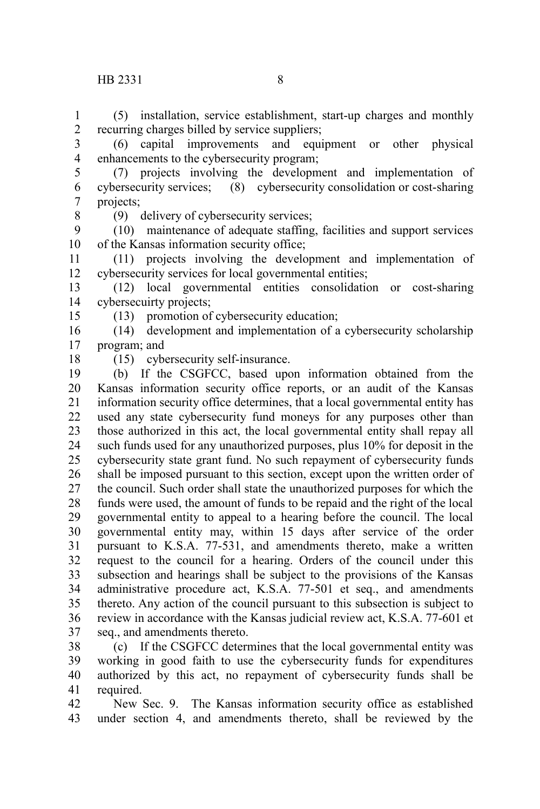(5) installation, service establishment, start-up charges and monthly recurring charges billed by service suppliers; 1 2

(6) capital improvements and equipment or other physical enhancements to the cybersecurity program; 3 4

(7) projects involving the development and implementation of cybersecurity services; (8) cybersecurity consolidation or cost-sharing projects; 5 6 7

8

(9) delivery of cybersecurity services;

(10) maintenance of adequate staffing, facilities and support services of the Kansas information security office; 9 10

(11) projects involving the development and implementation of cybersecurity services for local governmental entities; 11 12

(12) local governmental entities consolidation or cost-sharing cybersecuirty projects; 13 14

(13) promotion of cybersecurity education;

(14) development and implementation of a cybersecurity scholarship program; and 16 17

18

15

(15) cybersecurity self-insurance.

(b) If the CSGFCC, based upon information obtained from the Kansas information security office reports, or an audit of the Kansas information security office determines, that a local governmental entity has used any state cybersecurity fund moneys for any purposes other than those authorized in this act, the local governmental entity shall repay all such funds used for any unauthorized purposes, plus 10% for deposit in the cybersecurity state grant fund. No such repayment of cybersecurity funds shall be imposed pursuant to this section, except upon the written order of the council. Such order shall state the unauthorized purposes for which the funds were used, the amount of funds to be repaid and the right of the local governmental entity to appeal to a hearing before the council. The local governmental entity may, within 15 days after service of the order pursuant to K.S.A. 77-531, and amendments thereto, make a written request to the council for a hearing. Orders of the council under this subsection and hearings shall be subject to the provisions of the Kansas administrative procedure act, K.S.A. 77-501 et seq., and amendments thereto. Any action of the council pursuant to this subsection is subject to review in accordance with the Kansas judicial review act, K.S.A. 77-601 et seq., and amendments thereto. 19 20 21 22 23 24 25 26 27 28 29 30 31 32 33 34 35 36 37

(c) If the CSGFCC determines that the local governmental entity was working in good faith to use the cybersecurity funds for expenditures authorized by this act, no repayment of cybersecurity funds shall be required. 38 39 40 41

New Sec. 9. The Kansas information security office as established under section 4, and amendments thereto, shall be reviewed by the 42 43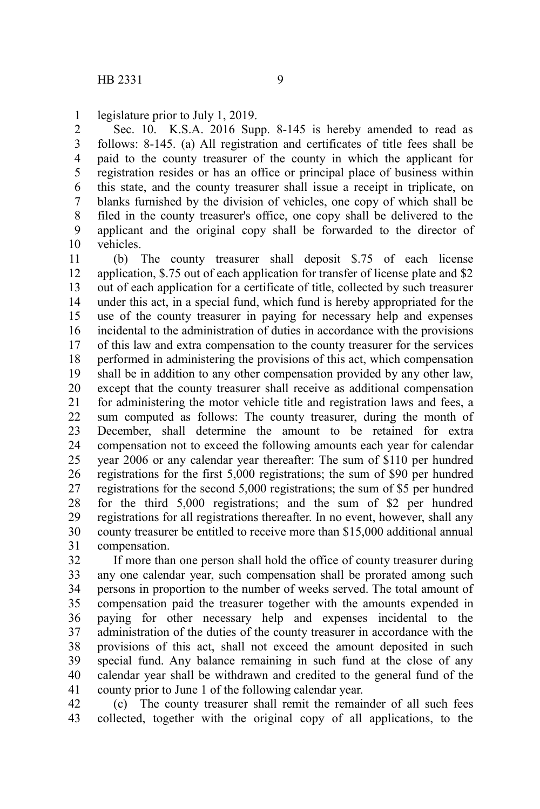legislature prior to July 1, 2019. 1

Sec. 10. K.S.A. 2016 Supp. 8-145 is hereby amended to read as follows: 8-145. (a) All registration and certificates of title fees shall be paid to the county treasurer of the county in which the applicant for registration resides or has an office or principal place of business within this state, and the county treasurer shall issue a receipt in triplicate, on blanks furnished by the division of vehicles, one copy of which shall be filed in the county treasurer's office, one copy shall be delivered to the applicant and the original copy shall be forwarded to the director of vehicles. 2 3 4 5 6 7 8 9 10

(b) The county treasurer shall deposit \$.75 of each license application, \$.75 out of each application for transfer of license plate and \$2 out of each application for a certificate of title, collected by such treasurer under this act, in a special fund, which fund is hereby appropriated for the use of the county treasurer in paying for necessary help and expenses incidental to the administration of duties in accordance with the provisions of this law and extra compensation to the county treasurer for the services performed in administering the provisions of this act, which compensation shall be in addition to any other compensation provided by any other law, except that the county treasurer shall receive as additional compensation for administering the motor vehicle title and registration laws and fees, a sum computed as follows: The county treasurer, during the month of December, shall determine the amount to be retained for extra compensation not to exceed the following amounts each year for calendar year 2006 or any calendar year thereafter: The sum of \$110 per hundred registrations for the first 5,000 registrations; the sum of \$90 per hundred registrations for the second 5,000 registrations; the sum of \$5 per hundred for the third 5,000 registrations; and the sum of \$2 per hundred registrations for all registrations thereafter. In no event, however, shall any county treasurer be entitled to receive more than \$15,000 additional annual compensation. 11 12 13 14 15 16 17 18 19 20 21 22 23 24 25 26 27 28 29 30 31

If more than one person shall hold the office of county treasurer during any one calendar year, such compensation shall be prorated among such persons in proportion to the number of weeks served. The total amount of compensation paid the treasurer together with the amounts expended in paying for other necessary help and expenses incidental to the administration of the duties of the county treasurer in accordance with the provisions of this act, shall not exceed the amount deposited in such special fund. Any balance remaining in such fund at the close of any calendar year shall be withdrawn and credited to the general fund of the county prior to June 1 of the following calendar year. 32 33 34 35 36 37 38 39 40 41

(c) The county treasurer shall remit the remainder of all such fees collected, together with the original copy of all applications, to the 42 43